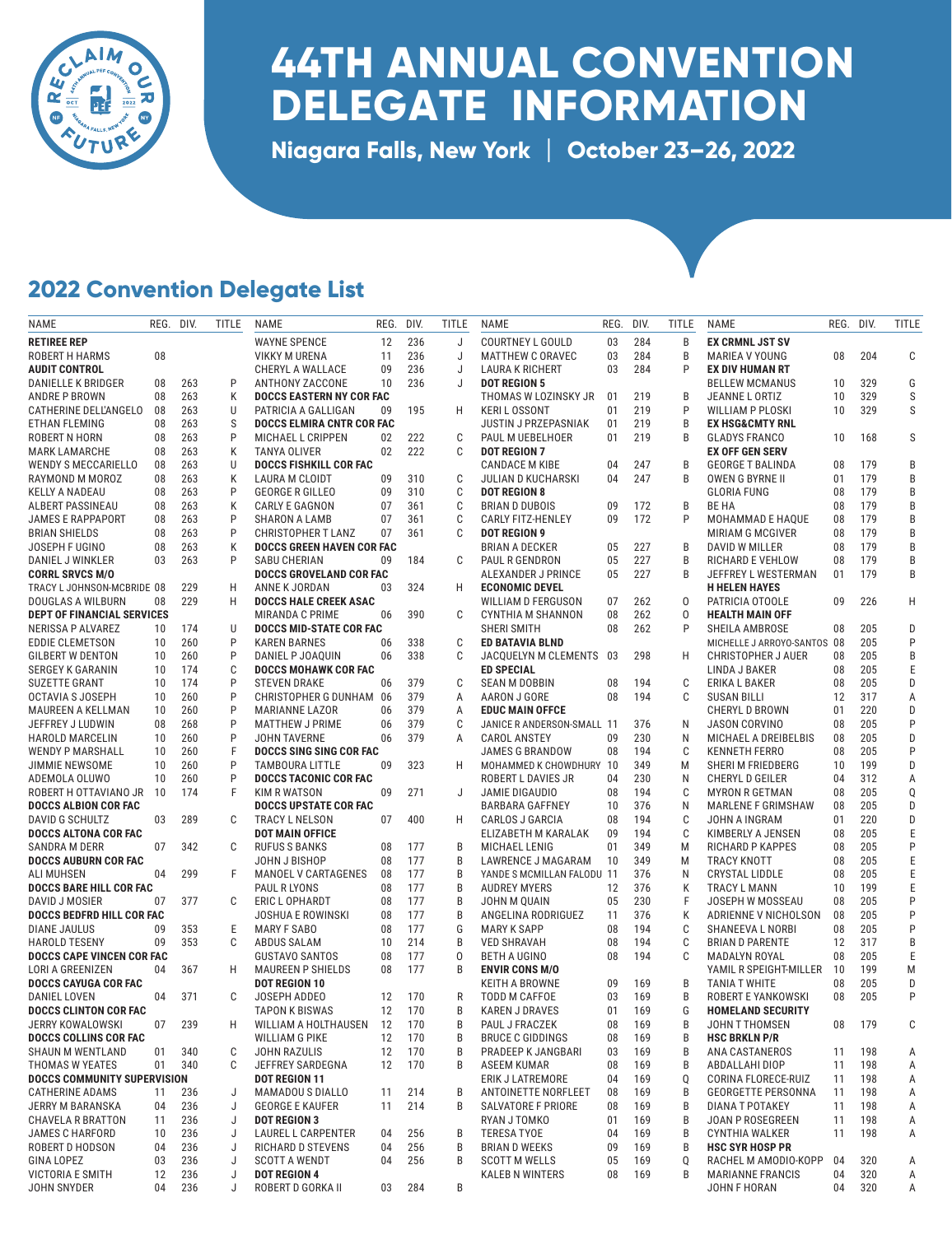

## **44TH ANNUAL CONVENTION DELEGATE INFORMATION**

**Niagara Falls, New York** | **October 23–26, 2022**

## **2022 Convention Delegate List**

| NAME                                                 | REG. DIV. |        | TITLE | <b>NAME</b>                             | REG.     | DIV.       | <b>TITLE</b> | NAME                                              | REG.     | DIV.       | TITLE  | NAME                                        | REG. DIV. |            | TITLE  |
|------------------------------------------------------|-----------|--------|-------|-----------------------------------------|----------|------------|--------------|---------------------------------------------------|----------|------------|--------|---------------------------------------------|-----------|------------|--------|
| <b>RETIREE REP</b>                                   |           |        |       | <b>WAYNE SPENCE</b>                     | 12       | 236        | J            | <b>COURTNEY L GOULD</b>                           | 03       | 284        | B      | <b>EX CRMNL JST SV</b>                      |           |            |        |
| ROBERT H HARMS                                       | 08        |        |       | <b>VIKKY M URENA</b>                    | 11       | 236        | J            | <b>MATTHEW C ORAVEC</b>                           | 03       | 284        | B      | MARIEA V YOUNG                              | 08        | 204        | C      |
| <b>AUDIT CONTROL</b>                                 |           |        |       | CHERYL A WALLACE                        | 09       | 236        | J            | LAURA K RICHERT                                   | 03       | 284        | P      | <b>EX DIV HUMAN RT</b>                      |           |            |        |
| DANIELLE K BRIDGER                                   | 08        | 263    | P     | ANTHONY ZACCONE                         | 10       | 236        | J            | <b>DOT REGION 5</b>                               |          |            |        | <b>BELLEW MCMANUS</b>                       | 10        | 329        | G      |
| ANDRE P BROWN                                        | 08        | 263    | К     | <b>DOCCS EASTERN NY COR FAC</b>         |          |            |              | THOMAS W LOZINSKY JR                              | 01       | 219        | B      | JEANNE L ORTIZ                              | 10        | 329        | S      |
| CATHERINE DELL'ANGELO                                | 08        | 263    | U     | PATRICIA A GALLIGAN                     | 09       | 195        | H.           | <b>KERIL OSSONT</b>                               | 01       | 219        | P      | WILLIAM P PLOSKI                            | 10        | 329        | S      |
| ETHAN FLEMING                                        | 08        | 263    | S     | <b>DOCCS ELMIRA CNTR COR FAC</b>        |          |            |              | <b>JUSTIN J PRZEPASNIAK</b>                       | 01       | 219        | B      | <b>EX HSG&amp;CMTY RNL</b>                  |           |            |        |
| ROBERT N HORN                                        | 08        | 263    | P     | <b>MICHAEL L CRIPPEN</b>                | 02       | 222        | C            | PAUL M UEBELHOER                                  | 01       | 219        | B      | <b>GLADYS FRANCO</b>                        | 10        | 168        | S      |
| <b>MARK LAMARCHE</b>                                 | 08        | 263    | Κ     | <b>TANYA OLIVER</b>                     | 02       | 222        | C            | <b>DOT REGION 7</b>                               |          |            |        | <b>EX OFF GEN SERV</b>                      |           |            |        |
| <b>WENDY S MECCARIELLO</b>                           | 08        | 263    | U     | <b>DOCCS FISHKILL COR FAC</b>           |          |            |              | <b>CANDACE M KIBE</b>                             | 04       | 247        | B      | <b>GEORGE T BALINDA</b>                     | 08        | 179        | B      |
| RAYMOND M MOROZ                                      | 08        | 263    | Κ     | LAURA M CLOIDT                          | 09       | 310        | C            | <b>JULIAN D KUCHARSKI</b>                         | 04       | 247        | B      | OWEN G BYRNE II                             | 01        | 179        | B      |
| <b>KELLY A NADEAU</b>                                | 08        | 263    | P     | <b>GEORGE R GILLEO</b>                  | 09       | 310        | C            | <b>DOT REGION 8</b>                               |          |            |        | <b>GLORIA FUNG</b>                          | 08        | 179        | B      |
| ALBERT PASSINEAU                                     | 08        | 263    | К     | CARLY E GAGNON                          | 07       | 361        | C            | <b>BRIAN D DUBOIS</b>                             | 09       | 172        | B      | BE HA                                       | 08        | 179        | B      |
| <b>JAMES E RAPPAPORT</b>                             | 08        | 263    | P     | SHARON A LAMB                           | 07       | 361        | C            | <b>CARLY FITZ-HENLEY</b>                          | 09       | 172        | P      | MOHAMMAD E HAQUE                            | 08        | 179        | B      |
| <b>BRIAN SHIELDS</b>                                 | 08        | 263    | P     | <b>CHRISTOPHER T LANZ</b>               | 07       | 361        | C            | <b>DOT REGION 9</b>                               |          |            |        | <b>MIRIAM G MCGIVER</b>                     | 08        | 179        | B      |
| JOSEPH F UGINO                                       | 08        | 263    | Κ     | <b>DOCCS GREEN HAVEN COR FAC</b>        |          |            |              | <b>BRIAN A DECKER</b>                             | 05       | 227        | B      | DAVID W MILLER                              | 08        | 179        | B      |
| DANIEL J WINKLER                                     | 03        | 263    | P     | SABU CHERIAN<br>DOCCS GROVELAND COR FAC | 09       | 184        | C            | PAUL R GENDRON                                    | 05<br>05 | 227<br>227 | B<br>B | RICHARD E VEHLOW                            | 08<br>01  | 179<br>179 | B<br>B |
| <b>CORRL SRVCS M/O</b><br>TRACY L JOHNSON-MCBRIDE 08 |           | 229    | H     | ANNE K JORDAN                           | 03       | 324        | H            | ALEXANDER J PRINCE<br><b>ECONOMIC DEVEL</b>       |          |            |        | JEFFREY L WESTERMAN<br><b>H HELEN HAYES</b> |           |            |        |
| DOUGLAS A WILBURN                                    | 08        | 229    | н     | <b>DOCCS HALE CREEK ASAC</b>            |          |            |              | <b>WILLIAM D FERGUSON</b>                         | 07       | 262        | 0      | PATRICIA OTOOLE                             | 09        | 226        | H      |
| DEPT OF FINANCIAL SERVICES                           |           |        |       | <b>MIRANDA C PRIME</b>                  | 06       | 390        | C            | CYNTHIA M SHANNON                                 | 08       | 262        | 0      | <b>HEALTH MAIN OFF</b>                      |           |            |        |
| NERISSA P ALVAREZ                                    | 10        | 174    | U     | <b>DOCCS MID-STATE COR FAC</b>          |          |            |              | <b>SHERI SMITH</b>                                | 08       | 262        | P      | SHEILA AMBROSE                              | 08        | 205        | D      |
| EDDIE CLEMETSON                                      | 10        | 260    | P     | <b>KAREN BARNES</b>                     | 06       | 338        | C            | ED BATAVIA BLND                                   |          |            |        | MICHELLE J ARROYO-SANTOS 08                 |           | 205        | P      |
| <b>GILBERT W DENTON</b>                              | 10        | 260    | P     | DANIEL P JOAQUIN                        | 06       | 338        | C            | JACQUELYN M CLEMENTS                              | -03      | 298        | Н      | <b>CHRISTOPHER J AUER</b>                   | 08        | 205        | B      |
| <b>SERGEY K GARANIN</b>                              | 10        | 174    | C     | <b>DOCCS MOHAWK COR FAC</b>             |          |            |              | <b>ED SPECIAL</b>                                 |          |            |        | LINDA J BAKER                               | 08        | 205        | Ε      |
| SUZETTE GRANT                                        | 10        | 174    | P     | <b>STEVEN DRAKE</b>                     | 06       | 379        | C            | <b>SEAN M DOBBIN</b>                              | 08       | 194        | C      | ERIKA L BAKER                               | 08        | 205        | D      |
| <b>OCTAVIA S JOSEPH</b>                              | 10        | 260    | P     | CHRISTOPHER G DUNHAM 06                 |          | 379        | A            | AARON J GORE                                      | 08       | 194        | C      | <b>SUSAN BILLI</b>                          | 12        | 317        | Α      |
| MAUREEN A KELLMAN                                    | 10        | 260    | P     | <b>MARIANNE LAZOR</b>                   | 06       | 379        | A            | <b>EDUC MAIN OFFCE</b>                            |          |            |        | CHERYL D BROWN                              | 01        | 220        | D      |
| JEFFREY J LUDWIN                                     | 08        | 268    | P     | <b>MATTHEW J PRIME</b>                  | 06       | 379        | C            | JANICE R ANDERSON-SMALL 11                        |          | 376        | N      | JASON CORVINO                               | 08        | 205        | P      |
| <b>HAROLD MARCELIN</b>                               | 10        | 260    | P     | <b>JOHN TAVERNE</b>                     | 06       | 379        | A            | <b>CAROL ANSTEY</b>                               | 09       | 230        | N      | MICHAEL A DREIBELBIS                        | 08        | 205        | D      |
| <b>WENDY P MARSHALL</b>                              | 10        | 260    | F     | DOCCS SING SING COR FAC                 |          |            |              | <b>JAMES G BRANDOW</b>                            | 08       | 194        | C      | <b>KENNETH FERRO</b>                        | 08        | 205        | P      |
| <b>JIMMIE NEWSOME</b>                                | 10        | 260    | P     | TAMBOURA LITTLE                         | 09       | 323        | H.           | MOHAMMED K CHOWDHURY 10                           |          | 349        | M      | SHERI M FRIEDBERG                           | 10        | 199        | D      |
| ADEMOLA OLUWO                                        | 10        | 260    | P     | <b>DOCCS TACONIC COR FAC</b>            |          |            |              | ROBERT L DAVIES JR                                | 04       | 230        | N      | <b>CHERYL D GEILER</b>                      | 04        | 312        | Α      |
| ROBERT H OTTAVIANO JR                                | 10        | 174    | F     | <b>KIM R WATSON</b>                     | 09       | 271        | J            | JAMIE DIGAUDIO                                    | 08       | 194        | C      | <b>MYRON R GETMAN</b>                       | 08        | 205        | Q      |
| <b>DOCCS ALBION COR FAC</b>                          |           |        |       | <b>DOCCS UPSTATE COR FAC</b>            |          |            |              | <b>BARBARA GAFFNEY</b>                            | 10       | 376        | N      | <b>MARLENE F GRIMSHAW</b>                   | 08        | 205        | D      |
| DAVID G SCHULTZ                                      | 03        | 289    | C     | TRACY L NELSON                          | 07       | 400        | H            | CARLOS J GARCIA                                   | 08       | 194        | C      | JOHN A INGRAM                               | 01        | 220        | D      |
| <b>DOCCS ALTONA COR FAC</b>                          |           |        |       | <b>DOT MAIN OFFICE</b>                  |          |            |              | ELIZABETH M KARALAK                               | 09       | 194        | C      | KIMBERLY A JENSEN                           | 08        | 205        | E      |
| SANDRA M DERR                                        | 07        | 342    | C     | <b>RUFUS S BANKS</b>                    | 08       | 177        | B            | MICHAEL LENIG                                     | 01       | 349        | M      | <b>RICHARD P KAPPES</b>                     | 08        | 205        | P      |
| <b>DOCCS AUBURN COR FAC</b>                          |           |        |       | JOHN J BISHOP                           | 08       | 177        | B            | LAWRENCE J MAGARAM                                | 10       | 349        | M      | TRACY KNOTT                                 | 08        | 205        | Ε      |
| ALI MUHSEN                                           | 04        | 299    | F     | MANOEL V CARTAGENES                     | 08<br>08 | 177<br>177 | B<br>B       | YANDE S MCMILLAN FALODU 11<br><b>AUDREY MYERS</b> | 12       | 376<br>376 | N<br>K | <b>CRYSTAL LIDDLE</b>                       | 08<br>10  | 205<br>199 | Ε<br>Ε |
| <b>DOCCS BARE HILL COR FAC</b><br>DAVID J MOSIER     | 07        | 377    | C     | PAUL R LYONS<br>ERIC L OPHARDT          | 08       | 177        | B            | JOHN M QUAIN                                      | 05       | 230        | F      | TRACY L MANN<br>JOSEPH W MOSSEAU            | 08        | 205        | P      |
| <b>DOCCS BEDFRD HILL COR FAC</b>                     |           |        |       | <b>JOSHUA E ROWINSKI</b>                | 08       | 177        | B            | ANGELINA RODRIGUEZ                                | 11       | 376        | K      | ADRIENNE V NICHOLSON                        | 08        | 205        | P      |
| DIANE JAULUS                                         | 09        | 353    | Ε     | <b>MARY F SABO</b>                      | 08       | 177        | G            | <b>MARY K SAPP</b>                                | 08       | 194        | C      | SHANEEVA L NORBI                            | 08        | 205        | P      |
| <b>HAROLD TESENY</b>                                 | 09        | 353    | C     | ABDUS SALAM                             | 10       | 214        | B            | <b>VED SHRAVAH</b>                                | 08       | 194        | C      | <b>BRIAN D PARENTE</b>                      | 12        | 317        | B      |
| <b>DOCCS CAPE VINCEN COR FAC</b>                     |           |        |       | <b>GUSTAVO SANTOS</b>                   | 08       | 177        | 0            | <b>BETH A UGINO</b>                               | 08       | 194        | C      | MADALYN ROYAL                               | 08        | 205        | Ε      |
| LORI A GREENIZEN                                     | 04        | 367    | H     | MAUREEN P SHIELDS                       | 08       | 177        | B            | <b>ENVIR CONS M/O</b>                             |          |            |        | YAMIL R SPEIGHT-MILLER 10                   |           | 199        | M      |
| DOCCS CAYUGA COR FAC                                 |           |        |       | <b>DOT REGION 10</b>                    |          |            |              | KEITH A BROWNE                                    | 09       | 169        | В      | TANIA T WHITE                               | 08        | 205        | D      |
| DANIEL LOVEN                                         | 04        | 371    | C     | JOSEPH ADDEO                            | 12       | 170        | R            | TODD M CAFFOE                                     | 03       | 169        | B      | ROBERT E YANKOWSKI                          | 08        | 205        | P      |
| <b>DOCCS CLINTON COR FAC</b>                         |           |        |       | <b>TAPON K BISWAS</b>                   | 12       | 170        | B            | <b>KAREN J DRAVES</b>                             | 01       | 169        | G      | <b>HOMELAND SECURITY</b>                    |           |            |        |
| <b>JERRY KOWALOWSKI</b>                              |           | 07 239 | H     | WILLIAM A HOLTHAUSEN                    | 12       | 170        | В            | PAUL J FRACZEK                                    | 08       | 169        | В      | JOHN T THOMSEN                              | 08        | 179        |        |
| <b>DOCCS COLLINS COR FAC</b>                         |           |        |       | <b>WILLIAM G PIKE</b>                   | 12       | 170        | B            | <b>BRUCE C GIDDINGS</b>                           | 08       | 169        | В      | <b>HSC BRKLN P/R</b>                        |           |            |        |
| <b>SHAUN M WENTLAND</b>                              | 01        | 340    | C     | <b>JOHN RAZULIS</b>                     | 12       | 170        | B            | PRADEEP K JANGBARI                                | 03       | 169        | B      | ANA CASTANEROS                              | 11        | 198        | A      |
| THOMAS W YEATES                                      | 01        | 340    | С     | JEFFREY SARDEGNA                        | 12       | 170        | B            | ASEEM KUMAR                                       | 08       | 169        | B      | ABDALLAHI DIOP                              | 11        | 198        | А      |
| <b>DOCCS COMMUNITY SUPERVISION</b>                   |           |        |       | DOT REGION 11                           |          |            |              | ERIK J LATREMORE                                  | 04       | 169        | Q      | CORINA FLORECE-RUIZ                         | 11        | 198        | Α      |
| <b>CATHERINE ADAMS</b>                               | 11        | 236    | J     | MAMADOU S DIALLO                        | 11       | 214        | B            | ANTOINETTE NORFLEET                               | 08       | 169        | В      | <b>GEORGETTE PERSONNA</b>                   | 11        | 198        | Α      |
| JERRY M BARANSKA                                     | 04        | 236    | J     | <b>GEORGE E KAUFER</b>                  | 11       | 214        | B            | SALVATORE F PRIORE                                | 08       | 169        | В      | DIANA T POTAKEY                             | 11        | 198        | Α      |
| CHAVELA R BRATTON                                    | 11        | 236    | J     | <b>DOT REGION 3</b>                     |          |            |              | RYAN J TOMKO                                      | 01       | 169        | B      | JOAN P ROSEGREEN                            | 11        | 198        | Α      |
| JAMES C HARFORD                                      | 10        | 236    | J     | LAUREL L CARPENTER                      | 04       | 256        | B            | <b>TERESA TYOE</b>                                | 04       | 169        | В      | CYNTHIA WALKER                              | 11        | 198        | Α      |
| ROBERT D HODSON                                      | 04        | 236    | J     | <b>RICHARD D STEVENS</b>                | 04       | 256        | B            | <b>BRIAN D WEEKS</b>                              | 09       | 169        | В      | <b>HSC SYR HOSP PR</b>                      |           |            |        |
| <b>GINA LOPEZ</b>                                    | 03        | 236    | J     | <b>SCOTT A WENDT</b>                    | 04       | 256        | B            | <b>SCOTT M WELLS</b>                              | 05       | 169        | Q      | RACHEL M AMODIO-KOPP                        | 04        | 320        | A      |
| <b>VICTORIA E SMITH</b>                              | 12        | 236    | J     | <b>DOT REGION 4</b>                     |          |            |              | <b>KALEB N WINTERS</b>                            | 08       | 169        | B      | <b>MARIANNE FRANCIS</b>                     | 04        | 320        | Α      |
| <b>JOHN SNYDER</b>                                   | 04        | 236    | J     | ROBERT D GORKA II                       | 03       | 284        | B            |                                                   |          |            |        | JOHN F HORAN                                | 04        | 320        | A      |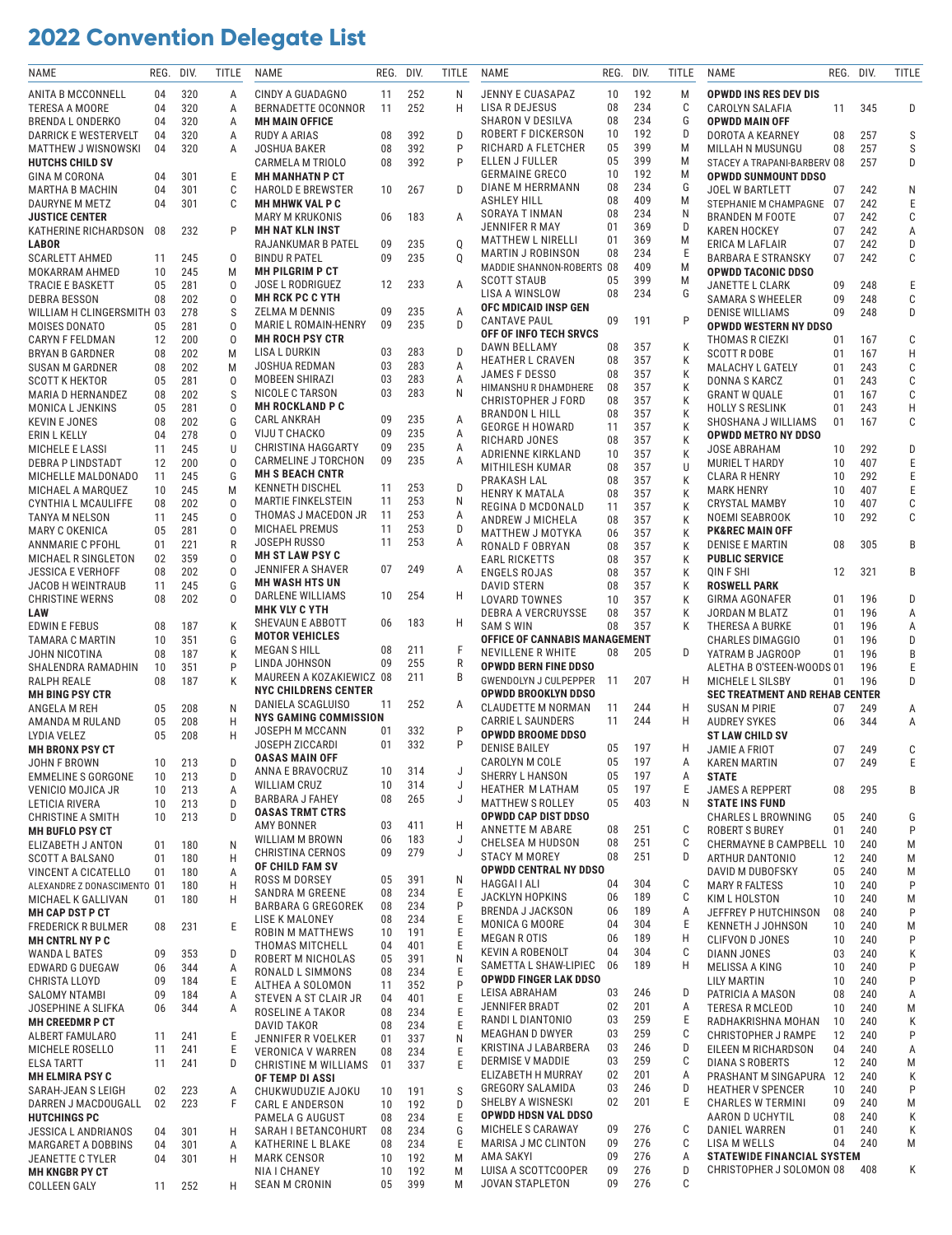## **2022 Convention Delegate List**

| NAME                        | REG. | DIV. | TITLE | NAME                                   | REG. | DIV. | TITLE  | NAME                                 | REG.     | DIV.       | TITLE  | NAME                                  | REG. | DIV. | TITLE |
|-----------------------------|------|------|-------|----------------------------------------|------|------|--------|--------------------------------------|----------|------------|--------|---------------------------------------|------|------|-------|
| ANITA B MCCONNELL           | 04   | 320  | Α     | CINDY A GUADAGNO                       | 11   | 252  | N      | <b>JENNY E CUASAPAZ</b>              | 10       | 192        | M      | OPWDD INS RES DEV DIS                 |      |      |       |
| <b>TERESA A MOORE</b>       | 04   | 320  | Α     | BERNADETTE OCONNOR                     | 11   | 252  | H      | LISA R DEJESUS                       | 08       | 234        | C      | CAROLYN SALAFIA                       | 11   | 345  | D     |
| <b>BRENDA L ONDERKO</b>     | 04   | 320  | Α     | <b>MH MAIN OFFICE</b>                  |      |      |        | SHARON V DESILVA                     | 08       | 234        | G      | <b>OPWDD MAIN OFF</b>                 |      |      |       |
| <b>DARRICK E WESTERVELT</b> | 04   | 320  | Α     | RUDY A ARIAS                           | 08   | 392  | D      | ROBERT F DICKERSON                   | 10       | 192        | D      | DOROTA A KEARNEY                      | 08   | 257  | S     |
| MATTHEW J WISNOWSKI         | 04   | 320  | Α     | <b>JOSHUA BAKER</b>                    | 08   | 392  | P      | RICHARD A FLETCHER                   | 05       | 399        | M      | MILLAH N MUSUNGU                      | 08   | 257  | S     |
| <b>HUTCHS CHILD SV</b>      |      |      |       | <b>CARMELA M TRIOLO</b>                | 08   | 392  | P      | ELLEN J FULLER                       | 05       | 399        | M      | STACEY A TRAPANI-BARBERV 08           |      | 257  | D     |
| GINA M CORONA               | 04   | 301  | Ε     | <b>MH MANHATN P CT</b>                 |      |      |        | <b>GERMAINE GRECO</b>                | 10       | 192        | M      | OPWDD SUNMOUNT DDSO                   |      |      |       |
| <b>MARTHA B MACHIN</b>      | 04   | 301  | C     | <b>HAROLD E BREWSTER</b>               | 10   | 267  | D      | DIANE M HERRMANN                     | 08       | 234        | G      | <b>JOEL W BARTLETT</b>                | 07   | 242  | N     |
| DAURYNE M METZ              | 04   | 301  | C     | <b>MH MHWK VAL P C</b>                 |      |      |        | ASHLEY HILL                          | 08       | 409        | M      | STEPHANIE M CHAMPAGNE 07              |      | 242  | Ε     |
| <b>JUSTICE CENTER</b>       |      |      |       | <b>MARY M KRUKONIS</b>                 | 06   | 183  | A      | SORAYA T INMAN                       | 08       | 234        | N      | <b>BRANDEN M FOOTE</b>                | 07   | 242  | С     |
| KATHERINE RICHARDSON        | 08   | 232  | P     | <b>MH NAT KLN INST</b>                 |      |      |        | JENNIFER R MAY                       | 01       | 369        | D      | <b>KAREN HOCKEY</b>                   | 07   | 242  | Α     |
| LABOR                       |      |      |       | RAJANKUMAR B PATEL                     | 09   | 235  | Q      | <b>MATTHEW L NIRELLI</b>             | 01       | 369        | M      | ERICA M LAFLAIR                       | 07   | 242  | D     |
| <b>SCARLETT AHMED</b>       | 11   | 245  | 0     | <b>BINDU R PATEL</b>                   | 09   | 235  | Q      | MARTIN J ROBINSON                    | 08       | 234        | Ε      | <b>BARBARA E STRANSKY</b>             | 07   | 242  | С     |
| MOKARRAM AHMED              | 10   | 245  | M     | <b>MH PILGRIM P CT</b>                 |      |      |        | MADDIE SHANNON-ROBERTS 08            |          | 409        | M      | <b>OPWDD TACONIC DDSO</b>             |      |      |       |
|                             |      |      |       |                                        |      | 233  |        | <b>SCOTT STAUB</b>                   | 05       | 399        | M      |                                       |      |      |       |
| <b>TRACIE E BASKETT</b>     | 05   | 281  | 0     | <b>JOSE L RODRIGUEZ</b>                | 12   |      | Α      | LISA A WINSLOW                       | 08       | 234        | G      | <b>JANETTE L CLARK</b>                | 09   | 248  | Ε     |
| <b>DEBRA BESSON</b>         | 08   | 202  | 0     | <b>MH RCK PC C YTH</b>                 | 09   | 235  |        | OFC MDICAID INSP GEN                 |          |            |        | <b>SAMARA S WHEELER</b>               | 09   | 248  | C     |
| WILLIAM H CLINGERSMITH 03   |      | 278  | S     | ZELMA M DENNIS<br>MARIE L ROMAIN-HENRY | 09   | 235  | Α<br>D | <b>CANTAVE PAUL</b>                  | 09       | 191        | P      | <b>DENISE WILLIAMS</b>                | 09   | 248  | D     |
| MOISES DONATO               | 05   | 281  | 0     | <b>MH ROCH PSY CTR</b>                 |      |      |        | OFF OF INFO TECH SRVCS               |          |            |        | <b>OPWDD WESTERN NY DDSO</b>          |      |      |       |
| CARYN F FELDMAN             | 12   | 200  | 0     |                                        | 03   | 283  | D      | DAWN BELLAMY                         | 08       | 357        | К      | THOMAS R CIEZKI                       | 01   | 167  | C     |
| BRYAN B GARDNER             | 08   | 202  | M     | LISA L DURKIN                          |      |      |        | <b>HEATHER L CRAVEN</b>              | 08       | 357        | К      | <b>SCOTT R DOBE</b>                   | 01   | 167  | H     |
| <b>SUSAN M GARDNER</b>      | 08   | 202  | M     | JOSHUA REDMAN                          | 03   | 283  | Α      | JAMES F DESSO                        | 08       | 357        | К      | MALACHY L GATELY                      | 01   | 243  | C     |
| <b>SCOTT K HEKTOR</b>       | 05   | 281  | 0     | MOBEEN SHIRAZI                         | 03   | 283  | Α      | HIMANSHU R DHAMDHERE                 | 08       | 357        | К      | DONNA S KARCZ                         | 01   | 243  | C     |
| MARIA D HERNANDEZ           | 08   | 202  | S     | NICOLE C TARSON                        | 03   | 283  | N      | <b>CHRISTOPHER J FORD</b>            | 08       | 357        | К      | <b>GRANT W QUALE</b>                  | 01   | 167  | C     |
| MONICA L JENKINS            | 05   | 281  | 0     | <b>MH ROCKLAND P C</b>                 |      |      |        | <b>BRANDON L HILL</b>                | 08       | 357        | К      | <b>HOLLY S RESLINK</b>                | 01   | 243  | Н     |
| <b>KEVIN E JONES</b>        | 08   | 202  | G     | <b>CARL ANKRAH</b>                     | 09   | 235  | Α      | <b>GEORGE H HOWARD</b>               | 11       | 357        | К      | SHOSHANA J WILLIAMS                   | 01   | 167  | C     |
| ERIN L KELLY                | 04   | 278  | 0     | VIJU T CHACKO                          | 09   | 235  | Α      | RICHARD JONES                        | 08       | 357        | К      | <b>OPWDD METRO NY DDSO</b>            |      |      |       |
| <b>MICHELE E LASSI</b>      | 11   | 245  | U     | <b>CHRISTINA HAGGARTY</b>              | 09   | 235  | Α      | ADRIENNE KIRKLAND                    | 10       | 357        | К      | <b>JOSE ABRAHAM</b>                   | 10   | 292  | D     |
| DEBRA P LINDSTADT           | 12   | 200  | 0     | CARMELINE J TORCHON                    | 09   | 235  | Α      | MITHILESH KUMAR                      | 08       | 357        | U      | MURIEL T HARDY                        | 10   | 407  | Ε     |
| MICHELLE MALDONADO          | 11   | 245  | G     | <b>MH S BEACH CNTR</b>                 |      |      |        | PRAKASH LAL                          | 08       | 357        | К      | <b>CLARA R HENRY</b>                  | 10   | 292  | Ε     |
| MICHAEL A MARQUEZ           | 10   | 245  | M     | <b>KENNETH DISCHEL</b>                 | 11   | 253  | D      | <b>HENRY K MATALA</b>                | 08       | 357        | Κ      | MARK HENRY                            | 10   | 407  | Ε     |
| <b>CYNTHIA L MCAULIFFE</b>  | 08   | 202  | 0     | <b>MARTIE FINKELSTEIN</b>              | 11   | 253  | N      | REGINA D MCDONALD                    | 11       | 357        | К      | <b>CRYSTAL MAMBY</b>                  | 10   | 407  | С     |
| TANYA M NELSON              | 11   | 245  | 0     | THOMAS J MACEDON JR                    | 11   | 253  | Α      | ANDREW J MICHELA                     | 08       | 357        | K      | NOEMI SEABROOK                        | 10   | 292  | С     |
| MARY C OKENICA              | 05   | 281  | 0     | <b>MICHAEL PREMUS</b>                  | 11   | 253  | D      | MATTHEW J MOTYKA                     | 06       | 357        | К      | <b>PK&amp;REC MAIN OFF</b>            |      |      |       |
| ANNMARIE C PFOHL            | 01   | 221  | R     | JOSEPH RUSSO                           | 11   | 253  | Α      | RONALD F OBRYAN                      | 08       | 357        | К      | DENISE E MARTIN                       | 08   | 305  | В     |
| MICHAEL R SINGLETON         | 02   | 359  | 0     | <b>MH ST LAW PSY C</b>                 |      |      |        | <b>EARL RICKETTS</b>                 | 08       | 357        | Κ      | <b>PUBLIC SERVICE</b>                 |      |      |       |
| JESSICA E VERHOFF           | 08   | 202  | 0     | JENNIFER A SHAVER                      | 07   | 249  | A      | <b>ENGELS ROJAS</b>                  | 08       | 357        | Κ      | QIN F SHI                             | 12   | 321  | B     |
| JACOB H WEINTRAUB           | 11   | 245  | G     | <b>MH WASH HTS UN</b>                  |      |      |        | DAVID STERN                          | 08       | 357        | K      | <b>ROSWELL PARK</b>                   |      |      |       |
| <b>CHRISTINE WERNS</b>      | 08   | 202  | 0     | DARLENE WILLIAMS                       | 10   | 254  | H.     | LOVARD TOWNES                        | 10       | 357        | К      | GIRMA AGONAFER                        | 01   | 196  | D     |
| LAW                         |      |      |       | <b>MHK VLY C YTH</b>                   |      |      |        | <b>DEBRA A VERCRUYSSE</b>            | 08       | 357        | К      | JORDAN M BLATZ                        | 01   | 196  | Α     |
| <b>EDWIN E FEBUS</b>        | 08   | 187  | K     | SHEVAUN E ABBOTT                       | 06   | 183  | H.     | <b>SAM S WIN</b>                     | 08       | 357        | К      | THERESA A BURKE                       | 01   | 196  | Α     |
| TAMARA C MARTIN             | 10   | 351  | G     | <b>MOTOR VEHICLES</b>                  |      |      |        | <b>OFFICE OF CANNABIS MANAGEMENT</b> |          |            |        | <b>CHARLES DIMAGGIO</b>               | 01   | 196  | D     |
| JOHN NICOTINA               | 08   | 187  | К     | MEGAN S HILL                           | 08   | 211  | F      | NEVILLENE R WHITE                    | 08       | 205        | D      | YATRAM B JAGROOP                      | 01   | 196  | B     |
| SHALENDRA RAMADHIN          | 10   | 351  | P     | LINDA JOHNSON                          | 09   | 255  | R      | <b>OPWDD BERN FINE DDSO</b>          |          |            |        | ALETHA B O'STEEN-WOODS 01             |      | 196  | Ε     |
| RALPH REALE                 | 08   | 187  | K     | MAUREEN A KOZAKIEWICZ 08               |      | 211  | В      | <b>GWENDOLYN J CULPEPPER</b>         | -11      | 207        | H.     | MICHELE L SILSBY                      | 01   | 196  | D     |
| <b>MH BING PSY CTR</b>      |      |      |       | <b>NYC CHILDRENS CENTER</b>            |      |      |        | <b>OPWDD BROOKLYN DDSO</b>           |          |            |        | <b>SEC TREATMENT AND REHAB CENTER</b> |      |      |       |
| ANGELA M REH                | 05   | 208  | Ν     | DANIELA SCAGLUISO                      | 11   | 252  | A      | <b>CLAUDETTE M NORMAN</b>            | 11       | 244        | H.     | <b>SUSAN M PIRIE</b>                  | 07   | 249  | Α     |
| AMANDA M RULAND             | 05   | 208  | Н     | <b>NYS GAMING COMMISSION</b>           |      |      |        | <b>CARRIE L SAUNDERS</b>             | 11       | 244        | H      | <b>AUDREY SYKES</b>                   | 06   | 344  | Α     |
| LYDIA VELEZ                 | 05   | 208  | Н     | <b>JOSEPH M MCCANN</b>                 | 01   | 332  | P      | <b>OPWDD BROOME DDSO</b>             |          |            |        | <b>ST LAW CHILD SV</b>                |      |      |       |
| <b>MH BRONX PSY CT</b>      |      |      |       | <b>JOSEPH ZICCARDI</b>                 | 01   | 332  | P      | <b>DENISE BAILEY</b>                 | 05       | 197        | H      | JAMIE A FRIOT                         | 07   | 249  | C     |
| JOHN F BROWN                | 10   | 213  | D     | <b>OASAS MAIN OFF</b>                  |      |      |        | CAROLYN M COLE                       | 05       | 197        | Α      | <b>KAREN MARTIN</b>                   | 07   | 249  | Ε     |
| EMMELINE S GORGONE          | 10   | 213  | D     | ANNA E BRAVOCRUZ                       | 10   | 314  | J      | SHERRY L HANSON                      | 05       | 197        | A      | <b>STATE</b>                          |      |      |       |
|                             |      | 213  |       | <b>WILLIAM CRUZ</b>                    | 10   | 314  | J      | HEATHER M LATHAM                     | 05       | 197        | Ε      |                                       | 08   |      |       |
| VENICIO MOJICA JR           | 10   |      | Α     | BARBARA J FAHEY                        | 08   | 265  | J      | <b>MATTHEW S ROLLEY</b>              | 05       | 403        | N      | <b>JAMES A REPPERT</b>                |      | 295  | В     |
| LETICIA RIVERA              | 10   | 213  | D     | <b>OASAS TRMT CTRS</b>                 |      |      |        |                                      |          |            |        | <b>STATE INS FUND</b>                 |      |      |       |
| <b>CHRISTINE A SMITH</b>    | 10   | 213  | D     | AMY BONNER                             | 03   | 411  | H      | OPWDD CAP DIST DDSO                  |          |            |        | <b>CHARLES L BROWNING</b>             | 05   | 240  | G     |
| <b>MH BUFLO PSY CT</b>      |      |      |       | WILLIAM M BROWN                        | 06   | 183  | J      | ANNETTE M ABARE<br>CHELSEA M HUDSON  | 08<br>08 | 251<br>251 | C<br>С | ROBERT S BUREY                        | 01   | 240  | P     |
| ELIZABETH J ANTON           | 01   | 180  | Ν     | <b>CHRISTINA CERNOS</b>                | 09   | 279  | J      |                                      | 08       | 251        |        | CHERMAYNE B CAMPBELL 10               |      | 240  | M     |
| <b>SCOTT A BALSANO</b>      | 01   | 180  | Н     | OF CHILD FAM SV                        |      |      |        | STACY M MOREY                        |          |            | D      | ARTHUR DANTONIO                       | 12   | 240  | M     |
| VINCENT A CICATELLO         | 01   | 180  | Α     | ROSS M DORSEY                          | 05   | 391  | N      | <b>OPWDD CENTRAL NY DDSO</b>         |          |            |        | DAVID M DUBOFSKY                      | 05   | 240  | M     |
| ALEXANDRE Z DONASCIMENTO 01 |      | 180  | Н     | SANDRA M GREENE                        | 08   | 234  | Е      | HAGGAI I ALI                         | 04       | 304        | C      | <b>MARY R FALTESS</b>                 | 10   | 240  | P     |
| MICHAEL K GALLIVAN          | 01   | 180  | Н     | BARBARA G GREGOREK                     | 08   | 234  | P      | JACKLYN HOPKINS                      | 06       | 189        | С      | KIM L HOLSTON                         | 10   | 240  | M     |
| MH CAP DST P CT             |      |      |       | LISE K MALONEY                         | 08   | 234  | Е      | <b>BRENDA J JACKSON</b>              | 06       | 189        | Α      | JEFFREY P HUTCHINSON                  | 08   | 240  | P     |
| <b>FREDERICK R BULMER</b>   | 08   | 231  | Ε     | <b>ROBIN M MATTHEWS</b>                | 10   | 191  | Е      | MONICA G MOORE                       | 04       | 304        | Е      | KENNETH J JOHNSON                     | 10   | 240  | M     |
| <b>MH CNTRL NY P C</b>      |      |      |       | THOMAS MITCHELL                        | 04   | 401  | Ε      | <b>MEGAN ROTIS</b>                   | 06       | 189        | н      | <b>CLIFVON D JONES</b>                | 10   | 240  | P     |
| <b>WANDA L BATES</b>        | 09   | 353  | D     | ROBERT M NICHOLAS                      | 05   | 391  | N      | KEVIN A ROBENOLT                     | 04       | 304        | C      | DIANN JONES                           | 03   | 240  | Κ     |
| EDWARD G DUEGAW             | 06   | 344  | Α     | RONALD L SIMMONS                       | 08   | 234  | Е      | SAMETTA L SHAW-LIPIEC                | 06       | 189        | н      | MELISSA A KING                        | 10   | 240  | P     |
| CHRISTA LLOYD               | 09   | 184  | Ε     | ALTHEA A SOLOMON                       | 11   | 352  | P      | <b>OPWDD FINGER LAK DDSO</b>         |          |            |        | LILY MARTIN                           | 10   | 240  | P     |
| <b>SALOMY NTAMBI</b>        | 09   | 184  | Α     | STEVEN A ST CLAIR JR                   | 04   | 401  | Е      | LEISA ABRAHAM                        | 03       | 246        | D      | PATRICIA A MASON                      | 08   | 240  | Α     |
| JOSEPHINE A SLIFKA          | 06   | 344  | Α     | ROSELINE A TAKOR                       | 08   | 234  | Е      | JENNIFER BRADT                       | 02       | 201        | Α      | <b>TERESA R MCLEOD</b>                | 10   | 240  | M     |
| <b>MH CREEDMR P CT</b>      |      |      |       | DAVID TAKOR                            | 08   | 234  | Ε      | RANDI L DIANTONIO                    | 03       | 259        | E.     | RADHAKRISHNA MOHAN                    | 10   | 240  | Κ     |
| ALBERT FAMULARO             | 11   | 241  | Ε     | JENNIFER R VOELKER                     | 01   | 337  | Ν      | MEAGHAN D DWYER                      | 03       | 259        | C      | CHRISTOPHER J RAMPE                   | 12   | 240  | P     |
| MICHELE ROSELLO             | 11   | 241  | Ε     | VERONICA V WARREN                      | 08   | 234  | Е      | KRISTINA J LABARBERA                 | 03       | 246        | D      | EILEEN M RICHARDSON                   | 04   | 240  | Α     |
| ELSA TARTT                  | 11   | 241  | D     | CHRISTINE M WILLIAMS                   | 01   | 337  | Е      | DERMISE V MADDIE                     | 03       | 259        | C      | DIANA S ROBERTS                       | 12   | 240  | M     |
| <b>MH ELMIRA PSY C</b>      |      |      |       | OF TEMP DI ASSI                        |      |      |        | ELIZABETH H MURRAY                   | 02       | 201        | Α      | PRASHANT M SINGAPURA 12               |      | 240  | Κ     |
| SARAH-JEAN S LEIGH          | 02   | 223  | Α     | CHUKWUDUZIE AJOKU                      | 10   | 191  | S      | <b>GREGORY SALAMIDA</b>              | 03       | 246        | D      | <b>HEATHER V SPENCER</b>              | 10   | 240  | P     |
| DARREN J MACDOUGALL         | 02   | 223  | F     | CARL E ANDERSON                        | 10   | 192  | D      | SHELBY A WISNESKI                    | 02       | 201        | Ε      | <b>CHARLES W TERMINI</b>              | 09   | 240  | M     |
| <b>HUTCHINGS PC</b>         |      |      |       | PAMELA G AUGUST                        | 08   | 234  | Ε      | OPWDD HDSN VAL DDSO                  |          |            |        | AARON D UCHYTIL                       | 08   | 240  | Κ     |
| JESSICA L ANDRIANOS         | 04   | 301  | Н     | SARAH I BETANCOHURT                    | 08   | 234  | G      | MICHELE S CARAWAY                    | 09       | 276        | C      | DANIEL WARREN                         | 01   | 240  | Κ     |
| MARGARET A DOBBINS          | 04   | 301  | А     | KATHERINE L BLAKE                      | 08   | 234  | Ε      | MARISA J MC CLINTON                  | 09       | 276        | С      | LISA M WELLS                          | 04   | 240  | M     |
| <b>JEANETTE C TYLER</b>     | 04   | 301  | Н     | <b>MARK CENSOR</b>                     | 10   | 192  | М      | AMA SAKYI                            | 09       | 276        | A      | <b>STATEWIDE FINANCIAL SYSTEM</b>     |      |      |       |
| MH KNGBR PY CT              |      |      |       | NIA I CHANEY                           | 10   | 192  | M      | LUISA A SCOTTCOOPER                  | 09       | 276        | D      | CHRISTOPHER J SOLOMON 08              |      | 408  | Κ     |
|                             |      | 252  | н     | SEAN M CRONIN                          | 05   | 399  | М      | JOVAN STAPLETON                      | 09       | 276        | C      |                                       |      |      |       |
| <b>COLLEEN GALY</b>         | 11   |      |       |                                        |      |      |        |                                      |          |            |        |                                       |      |      |       |